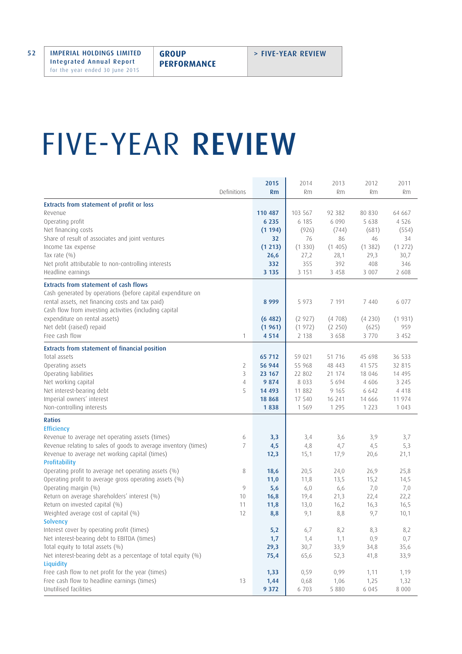## FIVE-YEAR REVIEW

|                                                                              |    | 2015    | 2014    | 2013    | 2012    | 2011      |
|------------------------------------------------------------------------------|----|---------|---------|---------|---------|-----------|
| Definitions                                                                  |    | Rm      | Rm      | Rm      | Rm      | <b>Rm</b> |
| Extracts from statement of profit or loss                                    |    |         |         |         |         |           |
| Revenue                                                                      |    | 110 487 | 103 567 | 92 382  | 80 830  | 64 667    |
| Operating profit                                                             |    | 6 2 3 5 | 6 185   | 6 0 9 0 | 5 6 3 8 | 4 5 2 6   |
| Net financing costs                                                          |    | (1194)  | (926)   | (744)   | (681)   | (554)     |
| Share of result of associates and joint ventures                             |    | 32      | 76      | 86      | 46      | 34        |
| Income tax expense                                                           |    | (1 213) | (1330)  | (1405)  | (1382)  | (1 272)   |
| Tax rate $(\% )$                                                             |    | 26,6    | 27,2    | 28,1    | 29,3    | 30,7      |
| Net profit attributable to non-controlling interests                         |    | 332     | 355     | 392     | 408     | 346       |
| Headline earnings                                                            |    | 3 1 3 5 | 3 1 5 1 | 3 4 5 8 | 3 0 0 7 | 2 608     |
| <b>Extracts from statement of cash flows</b>                                 |    |         |         |         |         |           |
| Cash generated by operations (before capital expenditure on                  |    |         |         |         |         |           |
| rental assets, net financing costs and tax paid)                             |    | 8 9 9 9 | 5 9 7 3 | 7 191   | 7 4 4 0 | 6 0 7 7   |
| Cash flow from investing activities (including capital                       |    |         |         |         |         |           |
| expenditure on rental assets)                                                |    | (6482)  | (2927)  | (4708)  | (4230)  | (1931)    |
| Net debt (raised) repaid                                                     |    | (1961)  | (1972)  | (2 250) | (625)   | 959       |
| Free cash flow                                                               | 1  | 4 5 1 4 | 2 1 3 8 | 3 6 5 8 | 3 770   | 3 4 5 2   |
| <b>Extracts from statement of financial position</b>                         |    |         |         |         |         |           |
| Total assets                                                                 |    | 65 712  | 59 021  | 51 7 16 | 45 698  | 36 533    |
| Operating assets                                                             | 2  | 56 944  | 55 968  | 48 443  | 41 575  | 32 815    |
| Operating liabilities                                                        | 3  | 23 167  | 22 802  | 21 174  | 18 0 46 | 14 495    |
| Net working capital                                                          | 4  | 9 8 7 4 | 8 0 3 3 | 5 6 9 4 | 4 60 6  | 3 2 4 5   |
| Net interest-bearing debt                                                    | 5  | 14 493  | 11 882  | 9 1 6 5 | 6 6 4 2 | 4 4 1 8   |
| Imperial owners' interest                                                    |    | 18 868  | 17 540  | 16 241  | 14 666  | 11 974    |
| Non-controlling interests                                                    |    | 1838    | 1 5 6 9 | 1 2 9 5 | 1 2 2 3 | 1 0 4 3   |
| <b>Ratios</b>                                                                |    |         |         |         |         |           |
| <b>Efficiency</b>                                                            |    |         |         |         |         |           |
| Revenue to average net operating assets (times)                              | 6  | 3,3     | 3,4     | 3,6     | 3,9     | 3,7       |
| Revenue relating to sales of goods to average inventory (times)              | 7  | 4,5     | 4,8     | 4,7     | 4,5     | 5,3       |
| Revenue to average net working capital (times)                               |    | 12,3    | 15,1    | 17,9    | 20,6    | 21,1      |
| <b>Profitability</b><br>Operating profit to average net operating assets (%) | 8  | 18,6    | 20,5    | 24,0    | 26,9    | 25,8      |
| Operating profit to average gross operating assets (%)                       |    | 11,0    | 11,8    | 13,5    | 15,2    | 14,5      |
| Operating margin (%)                                                         | 9  | 5,6     | 6,0     | 6,6     | 7,0     | 7,0       |
| Return on average shareholders' interest (%)                                 | 10 | 16,8    | 19,4    | 21,3    | 22,4    | 22,2      |
| Return on invested capital (%)                                               | 11 | 11,8    | 13,0    | 16,2    | 16,3    | 16,5      |
| Weighted average cost of capital (%)                                         | 12 | 8,8     | 9,1     | 8,8     | 9,7     | 10,1      |
| <b>Solvency</b>                                                              |    |         |         |         |         |           |
| Interest cover by operating profit (times)                                   |    | 5,2     | 6,7     | 8,2     | 8,3     | 8,2       |
| Net interest-bearing debt to EBITDA (times)                                  |    | 1,7     | 1,4     | 1,1     | 0,9     | 0,7       |
| Total equity to total assets (%)                                             |    | 29,3    | 30,7    | 33,9    | 34,8    | 35,6      |
| Net interest-bearing debt as a percentage of total equity (%)                |    | 75,4    | 65,6    | 52,3    | 41,8    | 33,9      |
| Liquidity                                                                    |    |         |         |         |         |           |
| Free cash flow to net profit for the year (times)                            |    | 1,33    | 0,59    | 0,99    | 1,11    | 1,19      |
| Free cash flow to headline earnings (times)                                  | 13 | 1,44    | 0,68    | 1,06    | 1,25    | 1,32      |
| Unutilised facilities                                                        |    | 9 3 7 2 | 6 703   | 5 8 8 0 | 6 0 4 5 | 8 0 0 0   |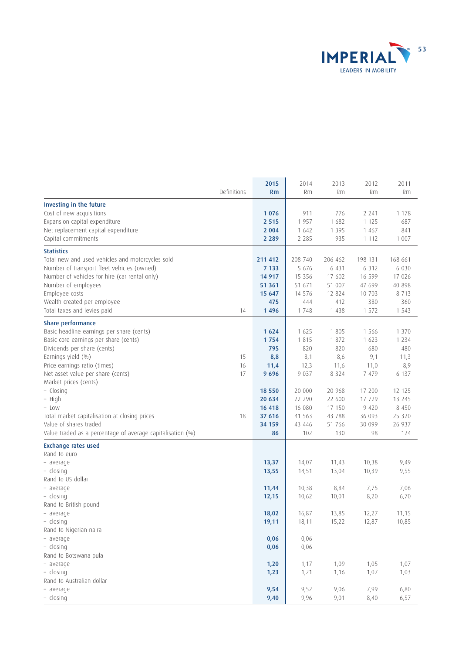

|                                                            |             | 2015     | 2014     | 2013    | 2012      | 2011      |
|------------------------------------------------------------|-------------|----------|----------|---------|-----------|-----------|
|                                                            | Definitions | Rm       | Rm       | Rm      | <b>Rm</b> | <b>Rm</b> |
| Investing in the future                                    |             |          |          |         |           |           |
| Cost of new acquisitions                                   |             | 1076     | 911      | 776     | 2 2 4 1   | 1 1 7 8   |
| Expansion capital expenditure                              |             | 2 5 1 5  | 1957     | 1 682   | 1 1 2 5   | 687       |
| Net replacement capital expenditure                        |             | 2 0 0 4  | 1 642    | 1 3 9 5 | 1 4 6 7   | 841       |
| Capital commitments                                        |             | 2 2 8 9  | 2 2 8 5  | 935     | 1 1 1 2   | 1 0 0 7   |
|                                                            |             |          |          |         |           |           |
| <b>Statistics</b>                                          |             |          |          |         |           |           |
| Total new and used vehicles and motorcycles sold           |             | 211 412  | 208 740  | 206 462 | 198 131   | 168 661   |
| Number of transport fleet vehicles (owned)                 |             | 7 1 3 3  | 5 676    | 6 4 3 1 | 6 3 1 2   | 6 0 3 0   |
| Number of vehicles for hire (car rental only)              |             | 14 9 17  | 15 3 5 6 | 17 602  | 16 599    | 17 0 26   |
| Number of employees                                        |             | 51 361   | 51 671   | 51 007  | 47 699    | 40 898    |
| Employee costs                                             |             | 15 647   | 14 576   | 12 824  | 10 703    | 8 7 1 3   |
| Wealth created per employee                                |             | 475      | 444      | 412     | 380       | 360       |
| Total taxes and levies paid                                | 14          | 1496     | 1748     | 1 4 3 8 | 1 572     | 1 5 4 3   |
| Share performance                                          |             |          |          |         |           |           |
| Basic headline earnings per share (cents)                  |             | 1624     | 1 6 2 5  | 1 8 0 5 | 1 5 6 6   | 1 3 7 0   |
| Basic core earnings per share (cents)                      |             | 1754     | 1815     | 1872    | 1 623     | 1 2 3 4   |
| Dividends per share (cents)                                |             | 795      | 820      | 820     | 680       | 480       |
| Earnings yield (%)                                         | 15          | 8,8      | 8,1      | 8,6     | 9,1       | 11,3      |
| Price earnings ratio (times)                               | 16          | 11,4     | 12,3     | 11,6    | 11,0      | 8,9       |
| Net asset value per share (cents)                          | 17          | 9696     | 9 0 3 7  | 8 3 2 4 | 7 4 7 9   | 6 137     |
| Market prices (cents)                                      |             |          |          |         |           |           |
| - Closing                                                  |             | 18 5 5 0 | 20 000   | 20 968  | 17 200    | 12 125    |
| - High                                                     |             | 20 634   | 22 290   | 22 600  | 17 729    | 13 2 45   |
| - Low                                                      |             | 16 418   | 16 080   | 17 150  | 9 4 2 0   | 8 4 5 0   |
| Total market capitalisation at closing prices              | 18          | 37 616   | 41 563   | 43 788  | 36 093    | 25 320    |
| Value of shares traded                                     |             | 34 159   | 43 446   | 51 766  | 30 099    | 26 937    |
| Value traded as a percentage of average capitalisation (%) |             | 86       | 102      | 130     | 98        | 124       |
| <b>Exchange rates used</b>                                 |             |          |          |         |           |           |
| Rand to euro                                               |             |          |          |         |           |           |
| - average                                                  |             | 13,37    | 14,07    | 11,43   | 10,38     | 9,49      |
| - closing                                                  |             | 13,55    | 14,51    | 13,04   | 10,39     | 9,55      |
| Rand to US dollar                                          |             |          |          |         |           |           |
| - average                                                  |             | 11,44    | 10,38    | 8,84    | 7,75      | 7,06      |
| - closing                                                  |             | 12,15    | 10,62    | 10,01   | 8,20      | 6,70      |
| Rand to British pound                                      |             |          |          |         |           |           |
| - average                                                  |             | 18,02    | 16,87    | 13,85   | 12,27     | 11,15     |
| - closing                                                  |             | 19,11    | 18,11    | 15,22   | 12,87     | 10,85     |
| Rand to Nigerian naira                                     |             |          |          |         |           |           |
| - average                                                  |             | 0,06     | 0,06     |         |           |           |
| - closing                                                  |             | 0,06     | 0,06     |         |           |           |
| Rand to Botswana pula                                      |             |          |          |         |           |           |
| - average                                                  |             | 1,20     | 1,17     | 1,09    | 1,05      | 1,07      |
| - closing                                                  |             | 1,23     | 1,21     | 1,16    | 1,07      | 1,03      |
| Rand to Australian dollar                                  |             |          |          |         |           |           |
| - average                                                  |             | 9,54     | 9,52     | 9,06    | 7,99      | 6,80      |
| - closing                                                  |             | 9,40     | 9,96     | 9,01    | 8,40      | 6,57      |